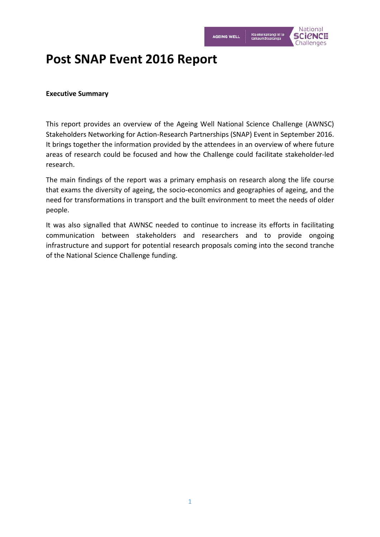

# **Post SNAP Event 2016 Report**

# **Executive Summary**

This report provides an overview of the Ageing Well National Science Challenge (AWNSC) Stakeholders Networking for Action-Research Partnerships (SNAP) Event in September 2016. It brings together the information provided by the attendees in an overview of where future areas of research could be focused and how the Challenge could facilitate stakeholder-led research.

The main findings of the report was a primary emphasis on research along the life course that exams the diversity of ageing, the socio-economics and geographies of ageing, and the need for transformations in transport and the built environment to meet the needs of older people.

It was also signalled that AWNSC needed to continue to increase its efforts in facilitating communication between stakeholders and researchers and to provide ongoing infrastructure and support for potential research proposals coming into the second tranche of the National Science Challenge funding.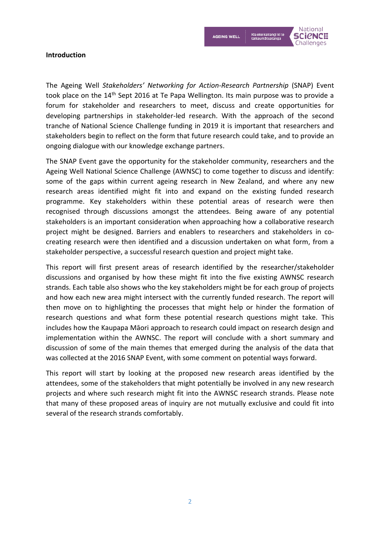

# **Introduction**

The Ageing Well *Stakeholders' Networking for Action-Research Partnership* (SNAP) Event took place on the 14<sup>th</sup> Sept 2016 at Te Papa Wellington. Its main purpose was to provide a forum for stakeholder and researchers to meet, discuss and create opportunities for developing partnerships in stakeholder-led research. With the approach of the second tranche of National Science Challenge funding in 2019 it is important that researchers and stakeholders begin to reflect on the form that future research could take, and to provide an ongoing dialogue with our knowledge exchange partners.

The SNAP Event gave the opportunity for the stakeholder community, researchers and the Ageing Well National Science Challenge (AWNSC) to come together to discuss and identify: some of the gaps within current ageing research in New Zealand, and where any new research areas identified might fit into and expand on the existing funded research programme. Key stakeholders within these potential areas of research were then recognised through discussions amongst the attendees. Being aware of any potential stakeholders is an important consideration when approaching how a collaborative research project might be designed. Barriers and enablers to researchers and stakeholders in cocreating research were then identified and a discussion undertaken on what form, from a stakeholder perspective, a successful research question and project might take.

This report will first present areas of research identified by the researcher/stakeholder discussions and organised by how these might fit into the five existing AWNSC research strands. Each table also shows who the key stakeholders might be for each group of projects and how each new area might intersect with the currently funded research. The report will then move on to highlighting the processes that might help or hinder the formation of research questions and what form these potential research questions might take. This includes how the Kaupapa Māori approach to research could impact on research design and implementation within the AWNSC. The report will conclude with a short summary and discussion of some of the main themes that emerged during the analysis of the data that was collected at the 2016 SNAP Event, with some comment on potential ways forward.

This report will start by looking at the proposed new research areas identified by the attendees, some of the stakeholders that might potentially be involved in any new research projects and where such research might fit into the AWNSC research strands. Please note that many of these proposed areas of inquiry are not mutually exclusive and could fit into several of the research strands comfortably.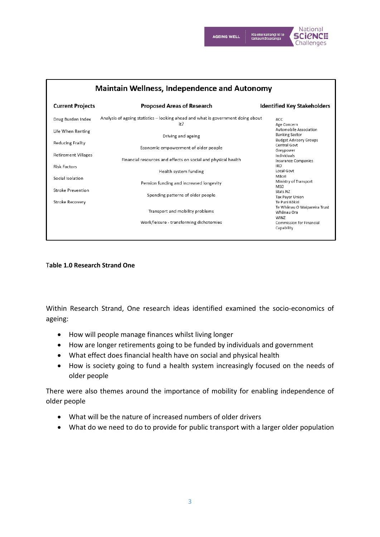



| <b>Maintain Wellness, Independence and Autonomy</b> |                                                                                         |                                                                                  |  |  |
|-----------------------------------------------------|-----------------------------------------------------------------------------------------|----------------------------------------------------------------------------------|--|--|
| <b>Current Projects</b>                             | <b>Proposed Areas of Research</b>                                                       | <b>Identified Key Stakeholders</b>                                               |  |  |
| Drug Burden Index                                   | Analysis of ageing statistics - looking ahead and what is government doing about<br>it? | ACC<br>Age Concern                                                               |  |  |
| Life When Renting                                   | Driving and ageing                                                                      | Automobile Association<br><b>Banking Sector</b><br><b>Budget Advisory Groups</b> |  |  |
| <b>Reducing Frailty</b>                             | Economic empowerment of older people                                                    | Central Govt<br>Greypower                                                        |  |  |
| <b>Retirement Villages</b><br><b>Risk Factors</b>   | Financial resources and effects on social and physical health                           | Individuals<br>Insurance Companies<br><b>IRD</b>                                 |  |  |
| Social Isolation                                    | Health system funding                                                                   | Local Govt<br>Māori                                                              |  |  |
| Stroke Prevention                                   | Pension funding and increased longevity                                                 | Ministry of Transport<br><b>MSD</b><br>Stats NZ                                  |  |  |
| Stroke Recovery                                     | Spending patterns of older people                                                       | Tax Payer Union<br>Te Puni Kökiri                                                |  |  |
|                                                     | Transport and mobility problems                                                         | Te Whānau O Waipareira Trust<br>Whānau Ora<br><b>WINZ</b>                        |  |  |
|                                                     | Work/leisure - transforming dichotomies                                                 | Commission for Financial<br>Capability                                           |  |  |
|                                                     |                                                                                         |                                                                                  |  |  |

# T**able 1.0 Research Strand One**

Within Research Strand, One research ideas identified examined the socio-economics of ageing:

- How will people manage finances whilst living longer
- How are longer retirements going to be funded by individuals and government
- What effect does financial health have on social and physical health
- How is society going to fund a health system increasingly focused on the needs of older people

There were also themes around the importance of mobility for enabling independence of older people

- What will be the nature of increased numbers of older drivers
- What do we need to do to provide for public transport with a larger older population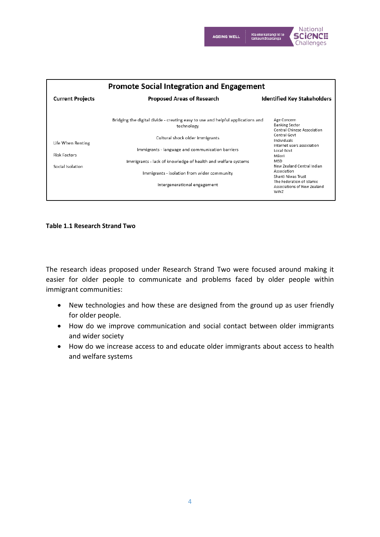

| <b>Promote Social Integration and Engagement</b>             |                                                                                               |                                                                     |  |  |
|--------------------------------------------------------------|-----------------------------------------------------------------------------------------------|---------------------------------------------------------------------|--|--|
| <b>Current Projects</b>                                      | <b>Proposed Areas of Research</b>                                                             | <b>Identified Key Stakeholders</b>                                  |  |  |
|                                                              | Bridging the digital divide - creating easy to use and helpful applications and<br>technology | Age Concern<br><b>Banking Sector</b><br>Central Chinese Association |  |  |
| Life When Renting<br><b>Risk Factors</b><br>Social Isolation | Cultural shock older immigrants                                                               | Central Govt<br>Individuals<br>Internet users association           |  |  |
|                                                              | Immigrants - language and communication barriers                                              | Local Govt<br>Māori                                                 |  |  |
|                                                              | Immigrants - lack of knowledge of health and welfare systems                                  | <b>MSD</b><br>New Zealand Central Indian                            |  |  |
|                                                              | Immigrants - isolation from wider community                                                   | Association<br>Shanti Niwas Trust<br>The Federation of Islamic      |  |  |
|                                                              | Intergenerational engagement                                                                  | Associations of New Zealand<br>WINZ                                 |  |  |

# **Table 1.1 Research Strand Two**

The research ideas proposed under Research Strand Two were focused around making it easier for older people to communicate and problems faced by older people within immigrant communities:

- New technologies and how these are designed from the ground up as user friendly for older people.
- How do we improve communication and social contact between older immigrants and wider society
- How do we increase access to and educate older immigrants about access to health and welfare systems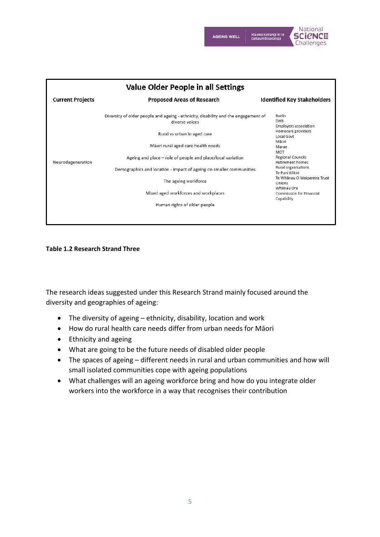

**Value Older People in all Settings Current Projects Proposed Areas of Research Identified Key Stakeholders** Diversity of older people and ageing - ethnicity, disability and the engagement of Banks diverse voices DHB Employers association Homecare providers Rural vs urban in aged care Local Govt Māori Mãori rural aged care health needs Marae MOT Ageing and place - role of people and place/local variation Regional Councils Neurodegeneration Retirement homes Rural organisations Demographics and location - impact of ageing on smaller communities Te Puni Kökiri Te Whanau O Waipareira Trust The ageing workforce Unions Whānau Ora Mixed aged workforces and workplaces Commission for Financial Capability Human rights of older people

# **Table 1.2 Research Strand Three**

The research ideas suggested under this Research Strand mainly focused around the diversity and geographies of ageing:

- The diversity of ageing ethnicity, disability, location and work
- How do rural health care needs differ from urban needs for Māori
- Ethnicity and ageing
- What are going to be the future needs of disabled older people
- The spaces of ageing different needs in rural and urban communities and how will small isolated communities cope with ageing populations
- What challenges will an ageing workforce bring and how do you integrate older workers into the workforce in a way that recognises their contribution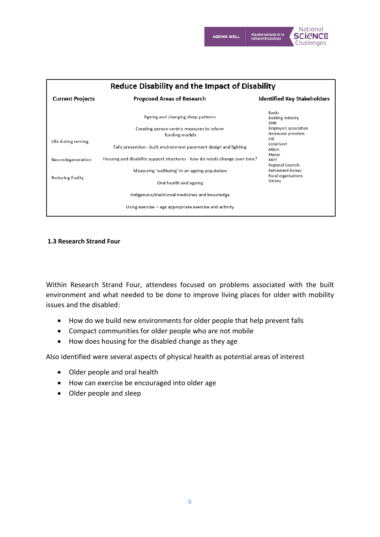

| <b>Reduce Disability and the Impact of Disability</b> |                                                                            |                                                                                           |  |  |
|-------------------------------------------------------|----------------------------------------------------------------------------|-------------------------------------------------------------------------------------------|--|--|
| <b>Current Projects</b>                               | <b>Proposed Areas of Research</b>                                          | <b>Identified Key Stakeholders</b>                                                        |  |  |
|                                                       | Ageing and changing sleep patterns                                         | <b>Banks</b><br><b>Building Industry</b><br><b>DHB</b>                                    |  |  |
| Life during renting                                   | Creating person-centric measures to inform<br>funding models               | Employers association<br>Homecare providers<br><b>IHC</b><br>Local Govt<br>Mãori<br>Marae |  |  |
|                                                       | Falls prevention - built environment pavement design and lighting          |                                                                                           |  |  |
| Neurodegeneration                                     | Housing and disability support structures - how do needs change over time? | MOT<br>Regional Councils                                                                  |  |  |
| Reducing Frailty                                      | Measuring 'wellbeing' in an ageing population                              | Retirement homes<br>Rural organisations                                                   |  |  |
|                                                       | Oral health and ageing                                                     | Unions                                                                                    |  |  |
|                                                       | Indigenous/traditional medicines and knowledge                             |                                                                                           |  |  |
|                                                       | Using exercise $-$ age appropriate exercise and activity                   |                                                                                           |  |  |

# **1.3 Research Strand Four**

Within Research Strand Four, attendees focused on problems associated with the built environment and what needed to be done to improve living places for older with mobility issues and the disabled:

- How do we build new environments for older people that help prevent falls
- Compact communities for older people who are not mobile
- How does housing for the disabled change as they age

Also identified were several aspects of physical health as potential areas of interest

- Older people and oral health
- How can exercise be encouraged into older age
- Older people and sleep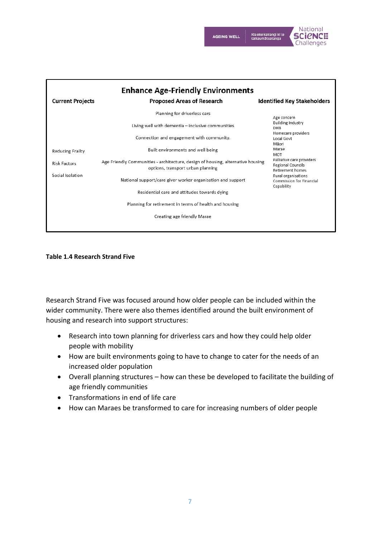



| <b>Enhance Age-Friendly Environments</b> |                                                                                                                      |                                                                                  |  |  |
|------------------------------------------|----------------------------------------------------------------------------------------------------------------------|----------------------------------------------------------------------------------|--|--|
| <b>Current Projects</b>                  | <b>Proposed Areas of Research</b>                                                                                    | <b>Identified Key Stakeholders</b>                                               |  |  |
|                                          | Planning for driverless cars                                                                                         | Age concern                                                                      |  |  |
|                                          | Living well with dementia - inclusive communities                                                                    | <b>Building Industry</b><br>DHB                                                  |  |  |
|                                          | Connection and engagement with community.                                                                            | Homecare providers<br>Local Govt<br>Māori                                        |  |  |
| Reducing Frailty                         | Built environments and well being                                                                                    | Marae<br>MOT                                                                     |  |  |
| <b>Risk Factors</b>                      | Age Friendly Communities - architecture, design of housing, alternative housing<br>options, transport urban planning | Palliative care providers<br><b>Regional Councils</b><br><b>Retirement homes</b> |  |  |
| Social Isolation                         | National support/care giver worker organisation and support                                                          | Rural organisations<br>Commission for Financial<br>Capability                    |  |  |
|                                          | Residential care and attitudes towards dying                                                                         |                                                                                  |  |  |
|                                          | Planning for retirement in terms of health and housing                                                               |                                                                                  |  |  |
| Creating age friendly Marae              |                                                                                                                      |                                                                                  |  |  |
|                                          |                                                                                                                      |                                                                                  |  |  |

# **Table 1.4 Research Strand Five**

Research Strand Five was focused around how older people can be included within the wider community. There were also themes identified around the built environment of housing and research into support structures:

- Research into town planning for driverless cars and how they could help older people with mobility
- How are built environments going to have to change to cater for the needs of an increased older population
- Overall planning structures how can these be developed to facilitate the building of age friendly communities
- Transformations in end of life care
- How can Maraes be transformed to care for increasing numbers of older people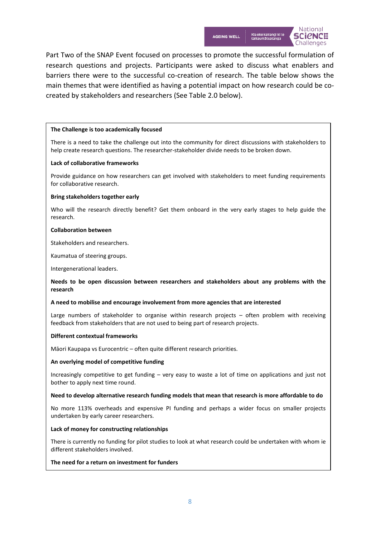

Part Two of the SNAP Event focused on processes to promote the successful formulation of research questions and projects. Participants were asked to discuss what enablers and barriers there were to the successful co-creation of research. The table below shows the main themes that were identified as having a potential impact on how research could be cocreated by stakeholders and researchers (See Table 2.0 below).

# **The Challenge is too academically focused**

There is a need to take the challenge out into the community for direct discussions with stakeholders to help create research questions. The researcher-stakeholder divide needs to be broken down.

## **Lack of collaborative frameworks**

Provide guidance on how researchers can get involved with stakeholders to meet funding requirements for collaborative research.

## **Bring stakeholders together early**

Who will the research directly benefit? Get them onboard in the very early stages to help guide the research.

## **Collaboration between**

Stakeholders and researchers.

Kaumatua of steering groups.

Intergenerational leaders.

# **Needs to be open discussion between researchers and stakeholders about any problems with the research**

## **A need to mobilise and encourage involvement from more agencies that are interested**

Large numbers of stakeholder to organise within research projects – often problem with receiving feedback from stakeholders that are not used to being part of research projects.

## **Different contextual frameworks**

Māori Kaupapa vs Eurocentric – often quite different research priorities.

## **An overlying model of competitive funding**

Increasingly competitive to get funding – very easy to waste a lot of time on applications and just not bother to apply next time round.

## **Need to develop alternative research funding models that mean that research is more affordable to do**

No more 113% overheads and expensive PI funding and perhaps a wider focus on smaller projects undertaken by early career researchers.

## **Lack of money for constructing relationships**

There is currently no funding for pilot studies to look at what research could be undertaken with whom ie different stakeholders involved.

# **The need for a return on investment for funders**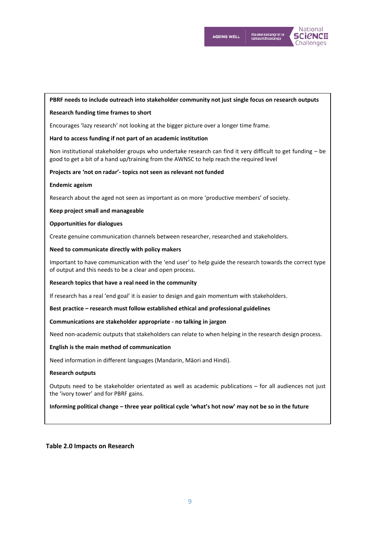

# **PBRF needs to include outreach into stakeholder community not just single focus on research outputs**

## **Research funding time frames to short**

Encourages 'lazy research' not looking at the bigger picture over a longer time frame.

## **Hard to access funding if not part of an academic institution**

Non institutional stakeholder groups who undertake research can find it very difficult to get funding – be good to get a bit of a hand up/training from the AWNSC to help reach the required level

#### **Projects are 'not on radar'- topics not seen as relevant not funded**

#### **Endemic ageism**

Research about the aged not seen as important as on more 'productive members' of society.

#### **Keep project small and manageable**

#### **Opportunities for dialogues**

Create genuine communication channels between researcher, researched and stakeholders.

# **Need to communicate directly with policy makers**

Important to have communication with the 'end user' to help guide the research towards the correct type of output and this needs to be a clear and open process.

#### **Research topics that have a real need in the community**

If research has a real 'end goal' it is easier to design and gain momentum with stakeholders.

**Best practice – research must follow established ethical and professional guidelines**

## **Communications are stakeholder appropriate - no talking in jargon**

Need non-academic outputs that stakeholders can relate to when helping in the research design process.

## **English is the main method of communication**

Need information in different languages (Mandarin, Māori and Hindi).

#### **Research outputs**

Outputs need to be stakeholder orientated as well as academic publications – for all audiences not just the 'ivory tower' and for PBRF gains.

## **Informing political change – three year political cycle 'what's hot now' may not be so in the future**

# **Table 2.0 Impacts on Research**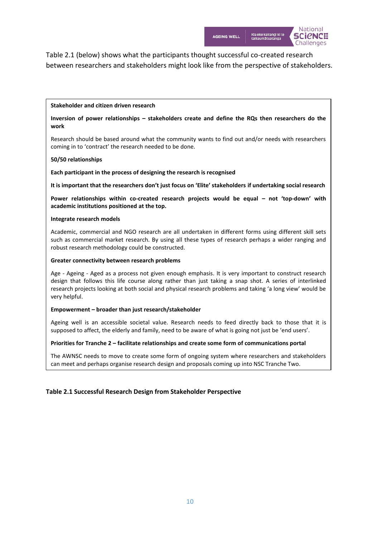

Table 2.1 (below) shows what the participants thought successful co-created research between researchers and stakeholders might look like from the perspective of stakeholders.

# **Stakeholder and citizen driven research**

# **Inversion of power relationships – stakeholders create and define the RQs then researchers do the work**

Research should be based around what the community wants to find out and/or needs with researchers coming in to 'contract' the research needed to be done.

# **50/50 relationships**

**Each participant in the process of designing the research is recognised**

**It is important that the researchers don't just focus on 'Elite' stakeholders if undertaking social research**

**Power relationships within co-created research projects would be equal – not 'top-down' with academic institutions positioned at the top.**

# **Integrate research models**

Academic, commercial and NGO research are all undertaken in different forms using different skill sets such as commercial market research. By using all these types of research perhaps a wider ranging and robust research methodology could be constructed.

# **Greater connectivity between research problems**

Age - Ageing - Aged as a process not given enough emphasis. It is very important to construct research design that follows this life course along rather than just taking a snap shot. A series of interlinked research projects looking at both social and physical research problems and taking 'a long view' would be very helpful.

# **Empowerment – broader than just research/stakeholder**

Ageing well is an accessible societal value. Research needs to feed directly back to those that it is supposed to affect, the elderly and family, need to be aware of what is going not just be 'end users'.

# **Priorities for Tranche 2 – facilitate relationships and create some form of communications portal**

The AWNSC needs to move to create some form of ongoing system where researchers and stakeholders can meet and perhaps organise research design and proposals coming up into NSC Tranche Two.

# **Table 2.1 Successful Research Design from Stakeholder Perspective**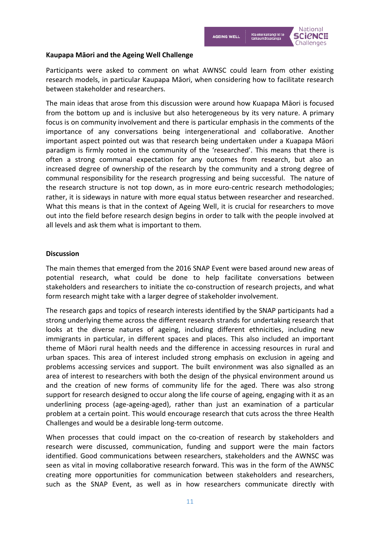

# **Kaupapa Māori and the Ageing Well Challenge**

Participants were asked to comment on what AWNSC could learn from other existing research models, in particular Kaupapa Māori, when considering how to facilitate research between stakeholder and researchers.

The main ideas that arose from this discussion were around how Kuapapa Māori is focused from the bottom up and is inclusive but also heterogeneous by its very nature. A primary focus is on community involvement and there is particular emphasis in the comments of the importance of any conversations being intergenerational and collaborative. Another important aspect pointed out was that research being undertaken under a Kuapapa Māori paradigm is firmly rooted in the community of the 'researched'. This means that there is often a strong communal expectation for any outcomes from research, but also an increased degree of ownership of the research by the community and a strong degree of communal responsibility for the research progressing and being successful. The nature of the research structure is not top down, as in more euro-centric research methodologies; rather, it is sideways in nature with more equal status between researcher and researched. What this means is that in the context of Ageing Well, it is crucial for researchers to move out into the field before research design begins in order to talk with the people involved at all levels and ask them what is important to them.

# **Discussion**

The main themes that emerged from the 2016 SNAP Event were based around new areas of potential research, what could be done to help facilitate conversations between stakeholders and researchers to initiate the co-construction of research projects, and what form research might take with a larger degree of stakeholder involvement.

The research gaps and topics of research interests identified by the SNAP participants had a strong underlying theme across the different research strands for undertaking research that looks at the diverse natures of ageing, including different ethnicities, including new immigrants in particular, in different spaces and places. This also included an important theme of Māori rural health needs and the difference in accessing resources in rural and urban spaces. This area of interest included strong emphasis on exclusion in ageing and problems accessing services and support. The built environment was also signalled as an area of interest to researchers with both the design of the physical environment around us and the creation of new forms of community life for the aged. There was also strong support for research designed to occur along the life course of ageing, engaging with it as an underlining process (age-ageing-aged), rather than just an examination of a particular problem at a certain point. This would encourage research that cuts across the three Health Challenges and would be a desirable long-term outcome.

When processes that could impact on the co-creation of research by stakeholders and research were discussed, communication, funding and support were the main factors identified. Good communications between researchers, stakeholders and the AWNSC was seen as vital in moving collaborative research forward. This was in the form of the AWNSC creating more opportunities for communication between stakeholders and researchers, such as the SNAP Event, as well as in how researchers communicate directly with